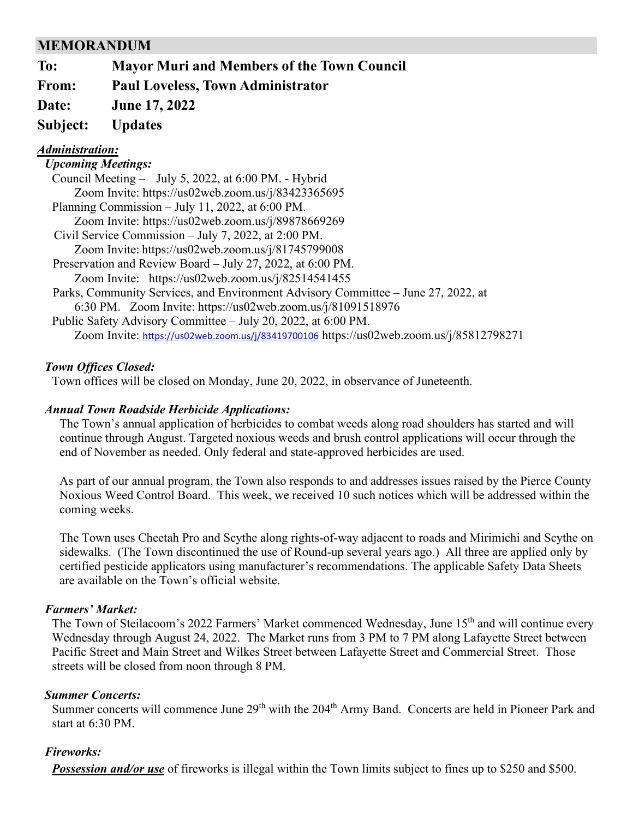# **MEMORANDUM**

**To: Mayor Muri and Members of the Town Council**

**From: Paul Loveless, Town Administrator**

**Date: June 17, 2022**

# **Subject: Updates**

## *Administration:*

### *Upcoming Meetings:*

| Council Meeting - July 5, 2022, at 6:00 PM. - Hybrid                                     |
|------------------------------------------------------------------------------------------|
| Zoom Invite: https://us02web.zoom.us/j/83423365695                                       |
| Planning Commission – July 11, 2022, at 6:00 PM.                                         |
| Zoom Invite: https://us02web.zoom.us/j/89878669269                                       |
| Civil Service Commission – July 7, 2022, at 2:00 PM.                                     |
| Zoom Invite: https://us02web.zoom.us/j/81745799008                                       |
| Preservation and Review Board – July 27, 2022, at 6:00 PM.                               |
| Zoom Invite: https://us02web.zoom.us/j/82514541455                                       |
| Parks, Community Services, and Environment Advisory Committee – June 27, 2022, at        |
| 6:30 PM. Zoom Invite: https://us02web.zoom.us/j/81091518976                              |
| Public Safety Advisory Committee – July 20, 2022, at 6:00 PM.                            |
| Zoom Invite: https://us02web.zoom.us/j/83419700106 https://us02web.zoom.us/j/85812798271 |

### *Town Offices Closed:*

Town offices will be closed on Monday, June 20, 2022, in observance of Juneteenth.

## *Annual Town Roadside Herbicide Applications:*

The Town's annual application of herbicides to combat weeds along road shoulders has started and will continue through August. Targeted noxious weeds and brush control applications will occur through the end of November as needed. Only federal and state-approved herbicides are used.

As part of our annual program, the Town also responds to and addresses issues raised by the Pierce County Noxious Weed Control Board. This week, we received 10 such notices which will be addressed within the coming weeks.

The Town uses Cheetah Pro and Scythe along rights-of-way adjacent to roads and Mirimichi and Scythe on sidewalks. (The Town discontinued the use of Round-up several years ago.) All three are applied only by certified pesticide applicators using manufacturer's recommendations. The applicable Safety Data Sheets are available on the Town's official website.

### *Farmers' Market:*

The Town of Steilacoom's 2022 Farmers' Market commenced Wednesday, June 15<sup>th</sup> and will continue every Wednesday through August 24, 2022. The Market runs from 3 PM to 7 PM along Lafayette Street between Pacific Street and Main Street and Wilkes Street between Lafayette Street and Commercial Street. Those streets will be closed from noon through 8 PM.

### *Summer Concerts:*

Summer concerts will commence June 29<sup>th</sup> with the 204<sup>th</sup> Army Band. Concerts are held in Pioneer Park and start at 6:30 PM.

### *Fireworks:*

**Possession and/or use** of fireworks is illegal within the Town limits subject to fines up to \$250 and \$500.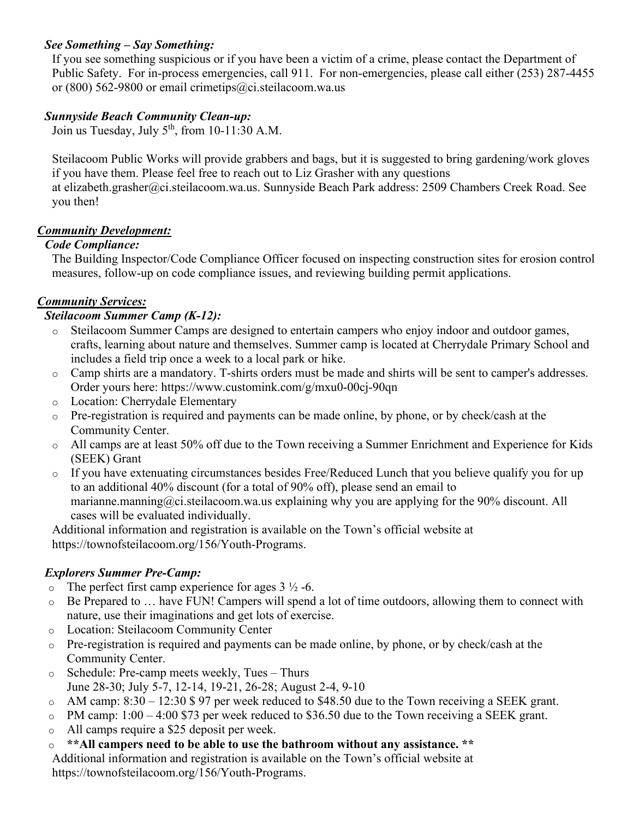# *See Something – Say Something:*

If you see something suspicious or if you have been a victim of a crime, please contact the Department of Public Safety. For in-process emergencies, call 911. For non-emergencies, please call either (253) 287-4455 or (800) 562-9800 or email [crimetips@ci.steilacoom.wa.us](mailto:crimetips@ci.steilacoom.wa.us)

### *Sunnyside Beach Community Clean-up:*

Join us Tuesday, July  $5<sup>th</sup>$ , from 10-11:30 A.M.

Steilacoom Public Works will provide grabbers and bags, but it is suggested to bring gardening/work gloves if you have them. Please feel free to reach out to Liz Grasher with any questions at [elizabeth.grasher@ci.steilacoom.wa.us.](mailto:elizabeth.grasher@ci.steilacoom.wa.us) Sunnyside Beach Park address: 2509 Chambers Creek Road. See you then!

# *Community Development:*

### *Code Compliance:*

The Building Inspector/Code Compliance Officer focused on inspecting construction sites for erosion control measures, follow-up on code compliance issues, and reviewing building permit applications.

## *Community Services:*

### *Steilacoom Summer Camp (K-12):*

- o Steilacoom Summer Camps are designed to entertain campers who enjoy indoor and outdoor games, crafts, learning about nature and themselves. Summer camp is located at Cherrydale Primary School and includes a field trip once a week to a local park or hike.
- o Camp shirts are a mandatory. T-shirts orders must be made and shirts will be sent to camper's addresses. Order yours here:<https://www.customink.com/g/mxu0-00cj-90qn>
- o Location: Cherrydale Elementary
- o Pre-registration is required and payments can be made online, by phone, or by check/cash at the Community Center.
- o All camps are at least 50% off due to the Town receiving a Summer Enrichment and Experience for Kids (SEEK) Grant
- o If you have extenuating circumstances besides Free/Reduced Lunch that you believe qualify you for up to an additional 40% discount (for a total of 90% off), please send an email to marianne.manning@ci.steilacoom.wa.us explaining why you are applying for the 90% discount. All cases will be evaluated individually.

Additional information and registration is available on the Town's official website at [https://townofsteilacoom.org/156/Youth-Programs.](https://townofsteilacoom.org/156/Youth-Programs)

# *Explorers Summer Pre-Camp:*

- $\circ$  The perfect first camp experience for ages 3  $\frac{1}{2}$  -6.
- o Be Prepared to … have FUN! Campers will spend a lot of time outdoors, allowing them to connect with nature, use their imaginations and get lots of exercise.
- o Location: Steilacoom Community Center
- o Pre-registration is required and payments can be made online, by phone, or by check/cash at the Community Center.
- o Schedule: Pre-camp meets weekly, Tues Thurs June 28-30; July 5-7, 12-14, 19-21, 26-28; August 2-4, 9-10
- $\circ$  AM camp: 8:30 12:30 \$ 97 per week reduced to \$48.50 due to the Town receiving a SEEK grant.
- $\circ$  PM camp: 1:00 4:00 \$73 per week reduced to \$36.50 due to the Town receiving a SEEK grant.
- o All camps require a \$25 deposit per week.
- o **\*\*All campers need to be able to use the bathroom without any assistance. \*\***

Additional information and registration is available on the Town's official website at [https://townofsteilacoom.org/156/Youth-Programs.](https://townofsteilacoom.org/156/Youth-Programs)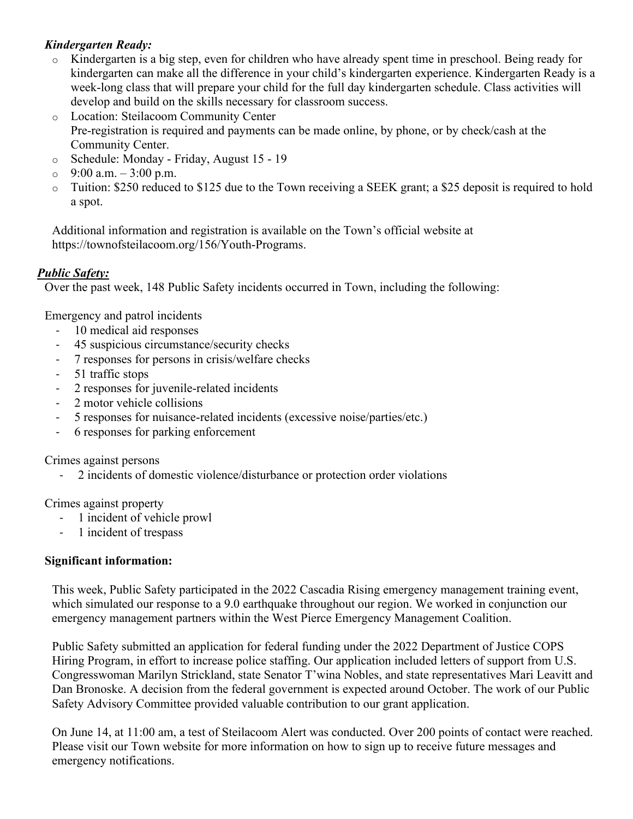# *Kindergarten Ready:*

- o Kindergarten is a big step, even for children who have already spent time in preschool. Being ready for kindergarten can make all the difference in your child's kindergarten experience. Kindergarten Ready is a week-long class that will prepare your child for the full day kindergarten schedule. Class activities will develop and build on the skills necessary for classroom success.
- o Location: Steilacoom Community Center Pre-registration is required and payments can be made online, by phone, or by check/cash at the Community Center.
- o Schedule: Monday Friday, August 15 19
- $\circ$  9:00 a.m.  $-3:00$  p.m.
- o Tuition: \$250 reduced to \$125 due to the Town receiving a SEEK grant; a \$25 deposit is required to hold a spot.

Additional information and registration is available on the Town's official website at [https://townofsteilacoom.org/156/Youth-Programs.](https://townofsteilacoom.org/156/Youth-Programs)

## *Public Safety:*

Over the past week, 148 Public Safety incidents occurred in Town, including the following:

Emergency and patrol incidents

- 10 medical aid responses
- 45 suspicious circumstance/security checks
- 7 responses for persons in crisis/welfare checks
- 51 traffic stops
- 2 responses for juvenile-related incidents
- 2 motor vehicle collisions
- 5 responses for nuisance-related incidents (excessive noise/parties/etc.)
- 6 responses for parking enforcement

Crimes against persons

- 2 incidents of domestic violence/disturbance or protection order violations

Crimes against property

- 1 incident of vehicle prowl
- 1 incident of trespass

### **Significant information:**

This week, Public Safety participated in the 2022 Cascadia Rising emergency management training event, which simulated our response to a 9.0 earthquake throughout our region. We worked in conjunction our emergency management partners within the West Pierce Emergency Management Coalition.

Public Safety submitted an application for federal funding under the 2022 Department of Justice COPS Hiring Program, in effort to increase police staffing. Our application included letters of support from U.S. Congresswoman Marilyn Strickland, state Senator T'wina Nobles, and state representatives Mari Leavitt and Dan Bronoske. A decision from the federal government is expected around October. The work of our Public Safety Advisory Committee provided valuable contribution to our grant application.

On June 14, at 11:00 am, a test of Steilacoom Alert was conducted. Over 200 points of contact were reached. Please visit our Town website for more information on how to sign up to receive future messages and emergency notifications.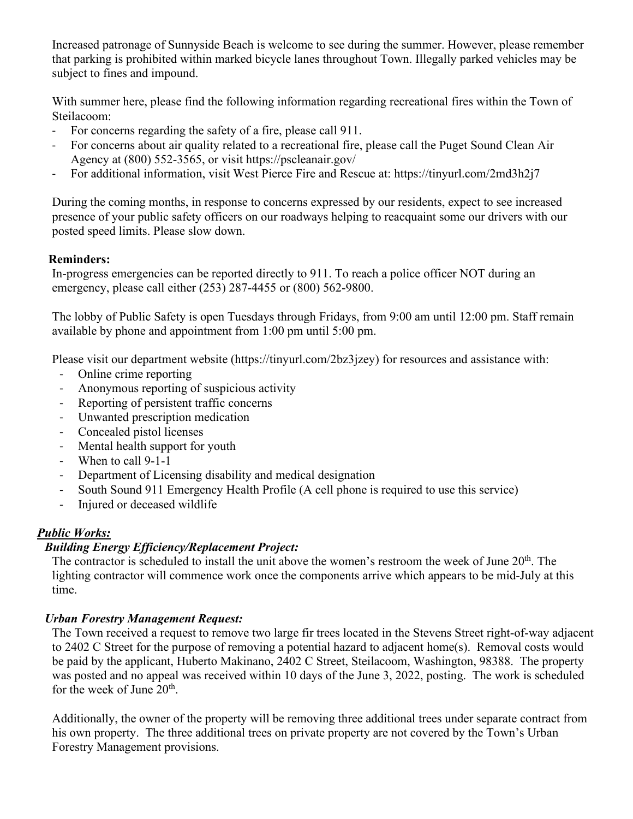Increased patronage of Sunnyside Beach is welcome to see during the summer. However, please remember that parking is prohibited within marked bicycle lanes throughout Town. Illegally parked vehicles may be subject to fines and impound.

With summer here, please find the following information regarding recreational fires within the Town of Steilacoom:

- For concerns regarding the safety of a fire, please call 911.
- For concerns about air quality related to a recreational fire, please call the Puget Sound Clean Air Agency at (800) 552-3565, or visit<https://pscleanair.gov/>
- For additional information, visit West Pierce Fire and Rescue at:<https://tinyurl.com/2md3h2j7>

During the coming months, in response to concerns expressed by our residents, expect to see increased presence of your public safety officers on our roadways helping to reacquaint some our drivers with our posted speed limits. Please slow down.

# **Reminders:**

In-progress emergencies can be reported directly to 911. To reach a police officer NOT during an emergency, please call either (253) 287-4455 or (800) 562-9800.

The lobby of Public Safety is open Tuesdays through Fridays, from 9:00 am until 12:00 pm. Staff remain available by phone and appointment from 1:00 pm until 5:00 pm.

Please visit our department website [\(https://tinyurl.com/2bz3jzey\)](https://tinyurl.com/2bz3jzey) for resources and assistance with:

- Online crime reporting
- Anonymous reporting of suspicious activity
- Reporting of persistent traffic concerns
- Unwanted prescription medication
- Concealed pistol licenses
- Mental health support for youth
- When to call 9-1-1
- Department of Licensing disability and medical designation
- South Sound 911 Emergency Health Profile (A cell phone is required to use this service)
- Injured or deceased wildlife

# *Public Works:*

# *Building Energy Efficiency/Replacement Project:*

The contractor is scheduled to install the unit above the women's restroom the week of June 20<sup>th</sup>. The lighting contractor will commence work once the components arrive which appears to be mid-July at this time.

# *Urban Forestry Management Request:*

The Town received a request to remove two large fir trees located in the Stevens Street right-of-way adjacent to 2402 C Street for the purpose of removing a potential hazard to adjacent home(s). Removal costs would be paid by the applicant, Huberto Makinano, 2402 C Street, Steilacoom, Washington, 98388. The property was posted and no appeal was received within 10 days of the June 3, 2022, posting. The work is scheduled for the week of June  $20<sup>th</sup>$ .

Additionally, the owner of the property will be removing three additional trees under separate contract from his own property. The three additional trees on private property are not covered by the Town's Urban Forestry Management provisions.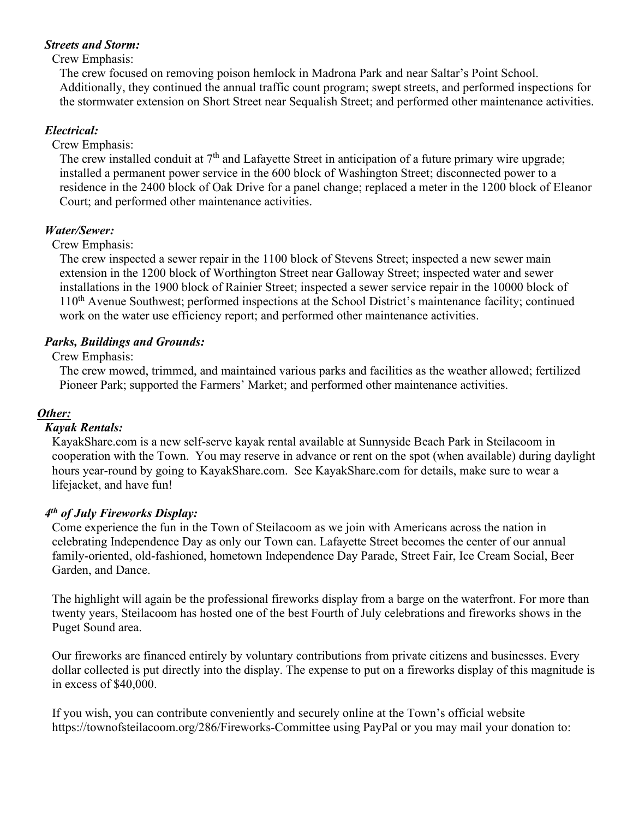### *Streets and Storm:*

#### Crew Emphasis:

The crew focused on removing poison hemlock in Madrona Park and near Saltar's Point School. Additionally, they continued the annual traffic count program; swept streets, and performed inspections for the stormwater extension on Short Street near Sequalish Street; and performed other maintenance activities.

### *Electrical:*

Crew Emphasis:

The crew installed conduit at  $7<sup>th</sup>$  and Lafayette Street in anticipation of a future primary wire upgrade; installed a permanent power service in the 600 block of Washington Street; disconnected power to a residence in the 2400 block of Oak Drive for a panel change; replaced a meter in the 1200 block of Eleanor Court; and performed other maintenance activities.

### *Water/Sewer:*

### Crew Emphasis:

The crew inspected a sewer repair in the 1100 block of Stevens Street; inspected a new sewer main extension in the 1200 block of Worthington Street near Galloway Street; inspected water and sewer installations in the 1900 block of Rainier Street; inspected a sewer service repair in the 10000 block of 110<sup>th</sup> Avenue Southwest; performed inspections at the School District's maintenance facility; continued work on the water use efficiency report; and performed other maintenance activities.

### *Parks, Buildings and Grounds:*

### Crew Emphasis:

The crew mowed, trimmed, and maintained various parks and facilities as the weather allowed; fertilized Pioneer Park; supported the Farmers' Market; and performed other maintenance activities.

### *Other:*

#### *Kayak Rentals:*

KayakShare.com is a new self-serve kayak rental available at Sunnyside Beach Park in Steilacoom in cooperation with the Town. You may reserve in advance or rent on the spot (when available) during daylight hours year-round by going to KayakShare.com. See KayakShare.com for details, make sure to wear a lifejacket, and have fun!

#### *4th of July Fireworks Display:*

Come experience the fun in the Town of Steilacoom as we join with Americans across the nation in celebrating Independence Day as only our Town can. Lafayette Street becomes the center of our annual family-oriented, old-fashioned, hometown Independence Day Parade, Street Fair, Ice Cream Social, Beer Garden, and Dance.

The highlight will again be the professional fireworks display from a barge on the waterfront. For more than twenty years, Steilacoom has hosted one of the best Fourth of July celebrations and fireworks shows in the Puget Sound area.

Our fireworks are financed entirely by voluntary contributions from private citizens and businesses. Every dollar collected is put directly into the display. The expense to put on a fireworks display of this magnitude is in excess of \$40,000.

If you wish, you can contribute conveniently and securely online at the Town's official website <https://townofsteilacoom.org/286/Fireworks-Committee>using PayPal or you may mail your donation to: